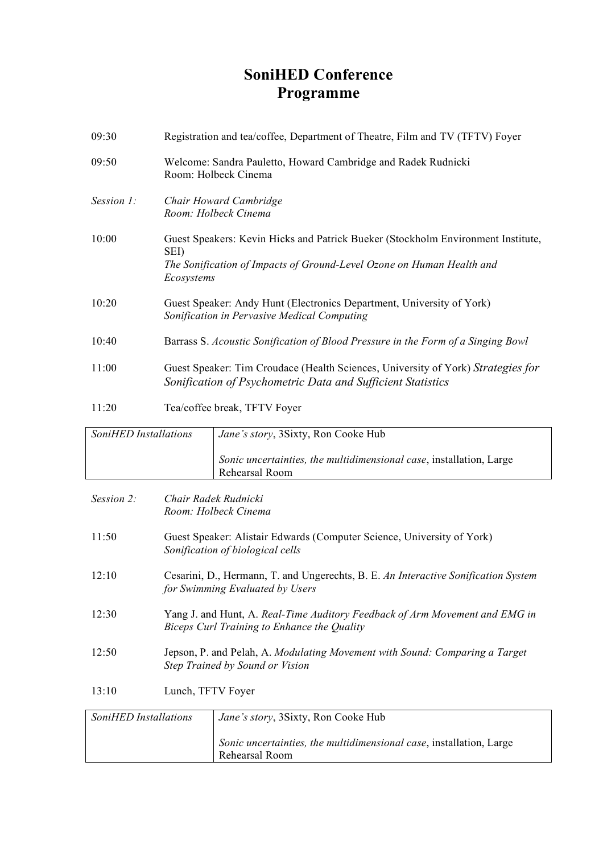## **SoniHED Conference Programme**

| 09:30                      | Registration and tea/coffee, Department of Theatre, Film and TV (TFTV) Foyer                                                                                                    |                                                                                       |  |
|----------------------------|---------------------------------------------------------------------------------------------------------------------------------------------------------------------------------|---------------------------------------------------------------------------------------|--|
| 09:50                      | Welcome: Sandra Pauletto, Howard Cambridge and Radek Rudnicki<br>Room: Holbeck Cinema                                                                                           |                                                                                       |  |
| Session 1:                 | Chair Howard Cambridge<br>Room: Holbeck Cinema                                                                                                                                  |                                                                                       |  |
| 10:00                      | Guest Speakers: Kevin Hicks and Patrick Bueker (Stockholm Environment Institute,<br>SEI)<br>The Sonification of Impacts of Ground-Level Ozone on Human Health and<br>Ecosystems |                                                                                       |  |
| 10:20                      | Guest Speaker: Andy Hunt (Electronics Department, University of York)<br>Sonification in Pervasive Medical Computing                                                            |                                                                                       |  |
| 10:40                      | Barrass S. Acoustic Sonification of Blood Pressure in the Form of a Singing Bowl                                                                                                |                                                                                       |  |
| 11:00                      | Guest Speaker: Tim Croudace (Health Sciences, University of York) Strategies for<br>Sonification of Psychometric Data and Sufficient Statistics                                 |                                                                                       |  |
| 11:20                      | Tea/coffee break, TFTV Foyer                                                                                                                                                    |                                                                                       |  |
| SoniHED Installations      |                                                                                                                                                                                 | Jane's story, 3Sixty, Ron Cooke Hub                                                   |  |
|                            |                                                                                                                                                                                 | Sonic uncertainties, the multidimensional case, installation, Large<br>Rehearsal Room |  |
| Session 2:                 | Chair Radek Rudnicki<br>Room: Holbeck Cinema                                                                                                                                    |                                                                                       |  |
| 11:50                      | Guest Speaker: Alistair Edwards (Computer Science, University of York)<br>Sonification of biological cells                                                                      |                                                                                       |  |
| 12:10                      | Cesarini, D., Hermann, T. and Ungerechts, B. E. An Interactive Sonification System<br>for Swimming Evaluated by Users                                                           |                                                                                       |  |
| 12:30                      | Yang J. and Hunt, A. Real-Time Auditory Feedback of Arm Movement and EMG in<br>Biceps Curl Training to Enhance the Quality                                                      |                                                                                       |  |
| 12:50                      | Jepson, P. and Pelah, A. Modulating Movement with Sound: Comparing a Target<br>Step Trained by Sound or Vision                                                                  |                                                                                       |  |
| Lunch, TFTV Foyer<br>13:10 |                                                                                                                                                                                 |                                                                                       |  |
| SoniHED Installations      |                                                                                                                                                                                 | Jane's story, 3Sixty, Ron Cooke Hub                                                   |  |
|                            |                                                                                                                                                                                 | Sonic uncertainties, the multidimensional case, installation, Large<br>Rehearsal Room |  |